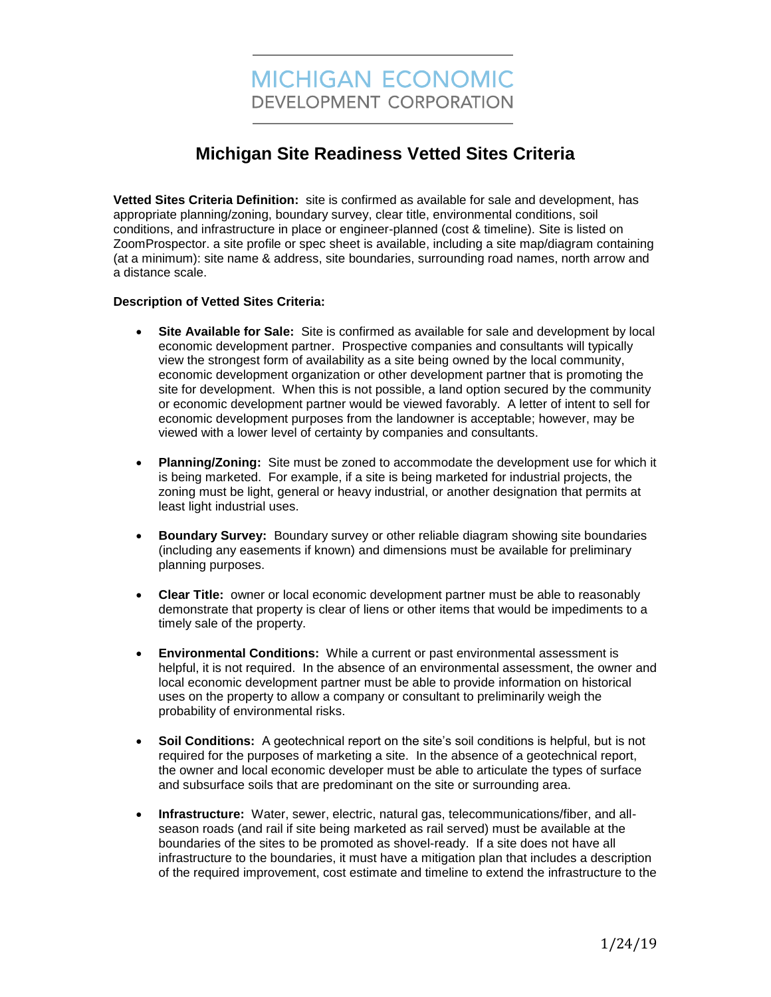## **Michigan Site Readiness Vetted Sites Criteria**

**Vetted Sites Criteria Definition:** site is confirmed as available for sale and development, has appropriate planning/zoning, boundary survey, clear title, environmental conditions, soil conditions, and infrastructure in place or engineer-planned (cost & timeline). Site is listed on ZoomProspector. a site profile or spec sheet is available, including a site map/diagram containing (at a minimum): site name & address, site boundaries, surrounding road names, north arrow and a distance scale.

## **Description of Vetted Sites Criteria:**

- **Site Available for Sale:** Site is confirmed as available for sale and development by local economic development partner. Prospective companies and consultants will typically view the strongest form of availability as a site being owned by the local community, economic development organization or other development partner that is promoting the site for development. When this is not possible, a land option secured by the community or economic development partner would be viewed favorably. A letter of intent to sell for economic development purposes from the landowner is acceptable; however, may be viewed with a lower level of certainty by companies and consultants.
- **Planning/Zoning:** Site must be zoned to accommodate the development use for which it is being marketed. For example, if a site is being marketed for industrial projects, the zoning must be light, general or heavy industrial, or another designation that permits at least light industrial uses.
- **Boundary Survey:** Boundary survey or other reliable diagram showing site boundaries (including any easements if known) and dimensions must be available for preliminary planning purposes.
- **Clear Title:** owner or local economic development partner must be able to reasonably demonstrate that property is clear of liens or other items that would be impediments to a timely sale of the property.
- **Environmental Conditions:** While a current or past environmental assessment is helpful, it is not required. In the absence of an environmental assessment, the owner and local economic development partner must be able to provide information on historical uses on the property to allow a company or consultant to preliminarily weigh the probability of environmental risks.
- **Soil Conditions:** A geotechnical report on the site's soil conditions is helpful, but is not required for the purposes of marketing a site. In the absence of a geotechnical report, the owner and local economic developer must be able to articulate the types of surface and subsurface soils that are predominant on the site or surrounding area.
- **Infrastructure:** Water, sewer, electric, natural gas, telecommunications/fiber, and allseason roads (and rail if site being marketed as rail served) must be available at the boundaries of the sites to be promoted as shovel-ready. If a site does not have all infrastructure to the boundaries, it must have a mitigation plan that includes a description of the required improvement, cost estimate and timeline to extend the infrastructure to the